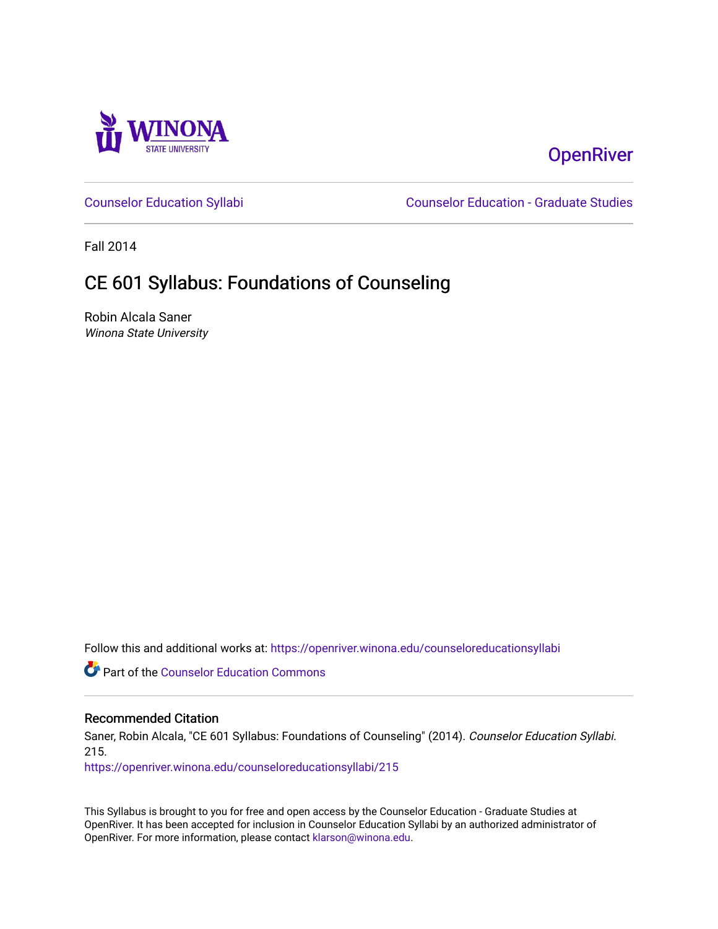

# **OpenRiver**

[Counselor Education Syllabi](https://openriver.winona.edu/counseloreducationsyllabi) [Counselor Education - Graduate Studies](https://openriver.winona.edu/counseloreducation) 

Fall 2014

# CE 601 Syllabus: Foundations of Counseling

Robin Alcala Saner Winona State University

Follow this and additional works at: [https://openriver.winona.edu/counseloreducationsyllabi](https://openriver.winona.edu/counseloreducationsyllabi?utm_source=openriver.winona.edu%2Fcounseloreducationsyllabi%2F215&utm_medium=PDF&utm_campaign=PDFCoverPages)

Part of the [Counselor Education Commons](http://network.bepress.com/hgg/discipline/1278?utm_source=openriver.winona.edu%2Fcounseloreducationsyllabi%2F215&utm_medium=PDF&utm_campaign=PDFCoverPages) 

#### Recommended Citation

Saner, Robin Alcala, "CE 601 Syllabus: Foundations of Counseling" (2014). Counselor Education Syllabi. 215.

[https://openriver.winona.edu/counseloreducationsyllabi/215](https://openriver.winona.edu/counseloreducationsyllabi/215?utm_source=openriver.winona.edu%2Fcounseloreducationsyllabi%2F215&utm_medium=PDF&utm_campaign=PDFCoverPages)

This Syllabus is brought to you for free and open access by the Counselor Education - Graduate Studies at OpenRiver. It has been accepted for inclusion in Counselor Education Syllabi by an authorized administrator of OpenRiver. For more information, please contact [klarson@winona.edu](mailto:klarson@winona.edu).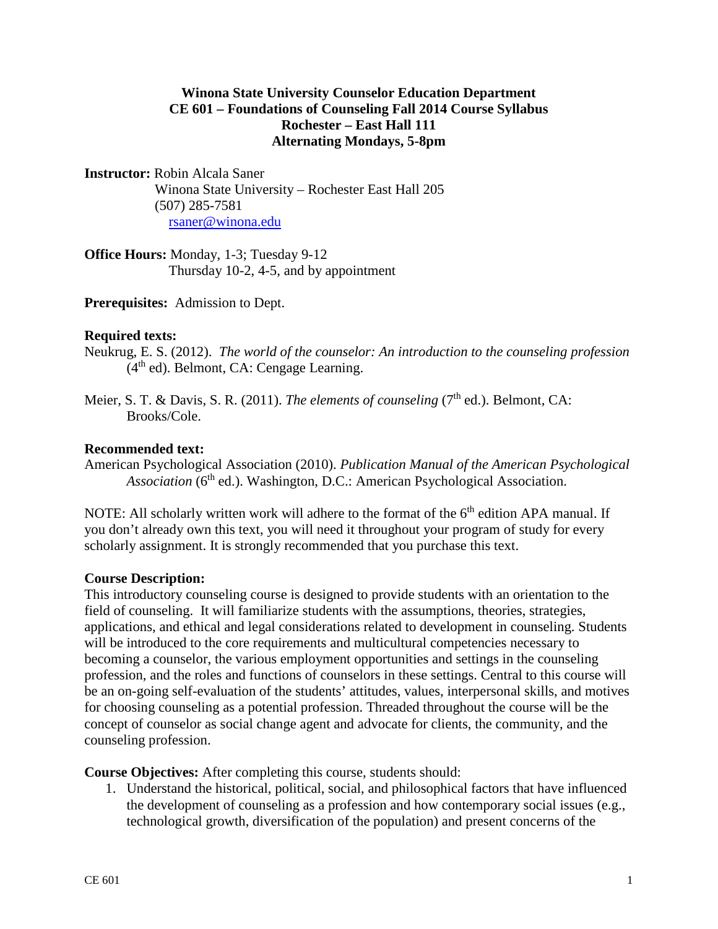### **Winona State University Counselor Education Department CE 601 – Foundations of Counseling Fall 2014 Course Syllabus Rochester – East Hall 111 Alternating Mondays, 5-8pm**

**Instructor:** Robin Alcala Saner

Winona State University – Rochester East Hall 205 (507) 285-7581 [rsaner@winona.edu](mailto:rsaner@winona.edu)

**Office Hours:** Monday, 1-3; Tuesday 9-12 Thursday 10-2, 4-5, and by appointment

**Prerequisites:** Admission to Dept.

#### **Required texts:**

Neukrug, E. S. (2012). *The world of the counselor: An introduction to the counseling profession*  $(4<sup>th</sup>$  ed). Belmont, CA: Cengage Learning.

Meier, S. T. & Davis, S. R. (2011). *The elements of counseling* (7<sup>th</sup> ed.). Belmont. CA: Brooks/Cole.

#### **Recommended text:**

American Psychological Association (2010). *Publication Manual of the American Psychological Association* (6<sup>th</sup> ed.). Washington, D.C.: American Psychological Association.

NOTE: All scholarly written work will adhere to the format of the  $6<sup>th</sup>$  edition APA manual. If you don't already own this text, you will need it throughout your program of study for every scholarly assignment. It is strongly recommended that you purchase this text.

#### **Course Description:**

This introductory counseling course is designed to provide students with an orientation to the field of counseling. It will familiarize students with the assumptions, theories, strategies, applications, and ethical and legal considerations related to development in counseling. Students will be introduced to the core requirements and multicultural competencies necessary to becoming a counselor, the various employment opportunities and settings in the counseling profession, and the roles and functions of counselors in these settings. Central to this course will be an on-going self-evaluation of the students' attitudes, values, interpersonal skills, and motives for choosing counseling as a potential profession. Threaded throughout the course will be the concept of counselor as social change agent and advocate for clients, the community, and the counseling profession.

**Course Objectives:** After completing this course, students should:

1. Understand the historical, political, social, and philosophical factors that have influenced the development of counseling as a profession and how contemporary social issues (e.g., technological growth, diversification of the population) and present concerns of the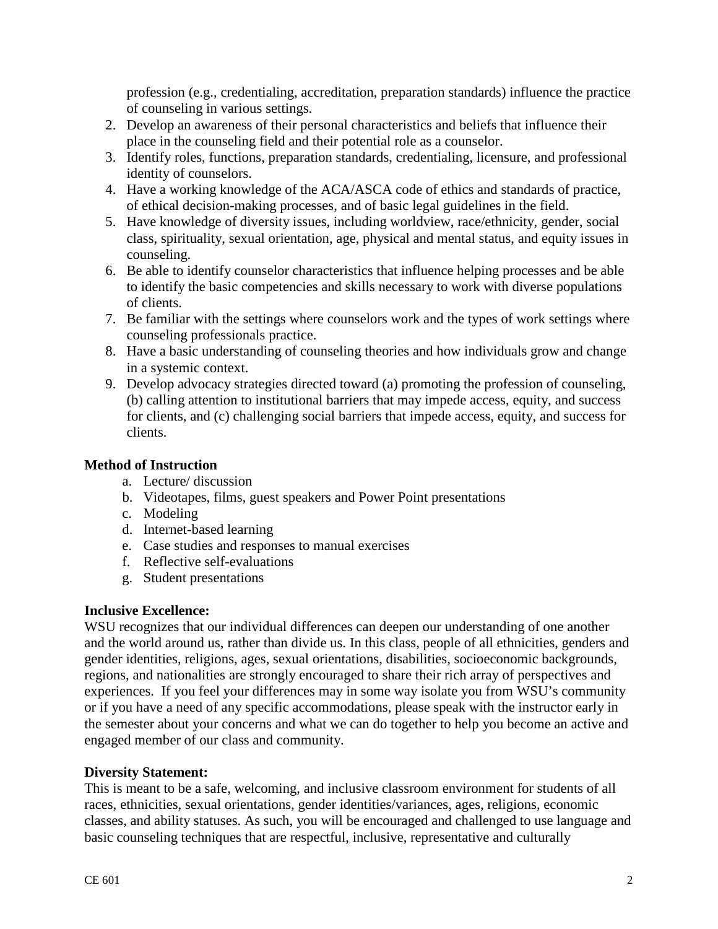profession (e.g., credentialing, accreditation, preparation standards) influence the practice of counseling in various settings.

- 2. Develop an awareness of their personal characteristics and beliefs that influence their place in the counseling field and their potential role as a counselor.
- 3. Identify roles, functions, preparation standards, credentialing, licensure, and professional identity of counselors.
- 4. Have a working knowledge of the ACA/ASCA code of ethics and standards of practice, of ethical decision-making processes, and of basic legal guidelines in the field.
- 5. Have knowledge of diversity issues, including worldview, race/ethnicity, gender, social class, spirituality, sexual orientation, age, physical and mental status, and equity issues in counseling.
- 6. Be able to identify counselor characteristics that influence helping processes and be able to identify the basic competencies and skills necessary to work with diverse populations of clients.
- 7. Be familiar with the settings where counselors work and the types of work settings where counseling professionals practice.
- 8. Have a basic understanding of counseling theories and how individuals grow and change in a systemic context.
- 9. Develop advocacy strategies directed toward (a) promoting the profession of counseling, (b) calling attention to institutional barriers that may impede access, equity, and success for clients, and (c) challenging social barriers that impede access, equity, and success for clients.

# **Method of Instruction**

- a. Lecture/ discussion
- b. Videotapes, films, guest speakers and Power Point presentations
- c. Modeling
- d. Internet-based learning
- e. Case studies and responses to manual exercises
- f. Reflective self-evaluations
- g. Student presentations

#### **Inclusive Excellence:**

WSU recognizes that our individual differences can deepen our understanding of one another and the world around us, rather than divide us. In this class, people of all ethnicities, genders and gender identities, religions, ages, sexual orientations, disabilities, socioeconomic backgrounds, regions, and nationalities are strongly encouraged to share their rich array of perspectives and experiences. If you feel your differences may in some way isolate you from WSU's community or if you have a need of any specific accommodations, please speak with the instructor early in the semester about your concerns and what we can do together to help you become an active and engaged member of our class and community.

#### **Diversity Statement:**

This is meant to be a safe, welcoming, and inclusive classroom environment for students of all races, ethnicities, sexual orientations, gender identities/variances, ages, religions, economic classes, and ability statuses. As such, you will be encouraged and challenged to use language and basic counseling techniques that are respectful, inclusive, representative and culturally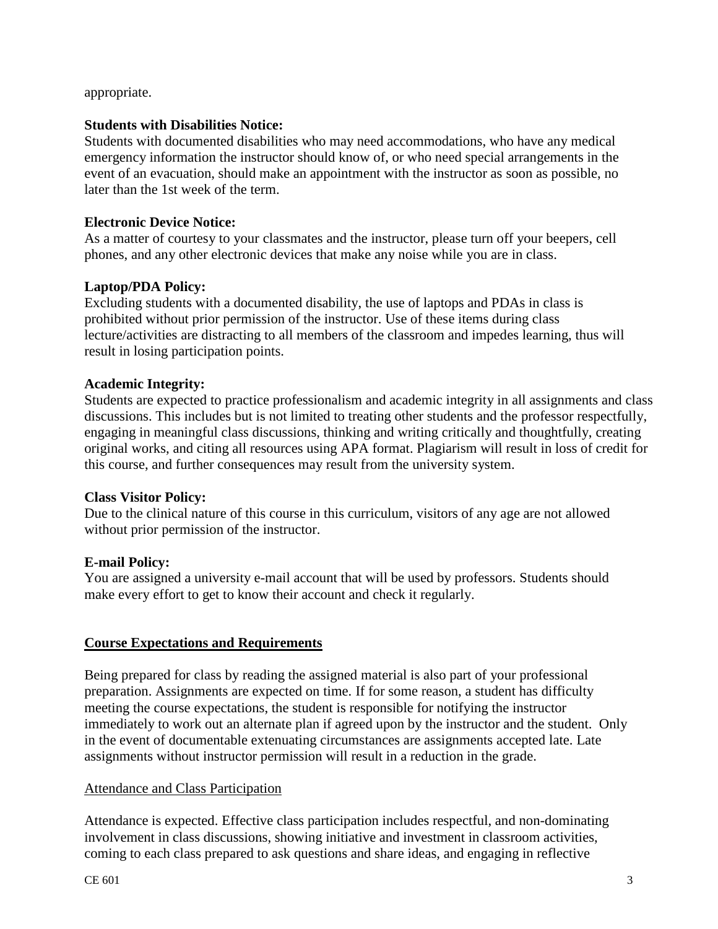appropriate.

### **Students with Disabilities Notice:**

Students with documented disabilities who may need accommodations, who have any medical emergency information the instructor should know of, or who need special arrangements in the event of an evacuation, should make an appointment with the instructor as soon as possible, no later than the 1st week of the term.

### **Electronic Device Notice:**

As a matter of courtesy to your classmates and the instructor, please turn off your beepers, cell phones, and any other electronic devices that make any noise while you are in class.

### **Laptop/PDA Policy:**

Excluding students with a documented disability, the use of laptops and PDAs in class is prohibited without prior permission of the instructor. Use of these items during class lecture/activities are distracting to all members of the classroom and impedes learning, thus will result in losing participation points.

#### **Academic Integrity:**

Students are expected to practice professionalism and academic integrity in all assignments and class discussions. This includes but is not limited to treating other students and the professor respectfully, engaging in meaningful class discussions, thinking and writing critically and thoughtfully, creating original works, and citing all resources using APA format. Plagiarism will result in loss of credit for this course, and further consequences may result from the university system.

#### **Class Visitor Policy:**

Due to the clinical nature of this course in this curriculum, visitors of any age are not allowed without prior permission of the instructor.

#### **E-mail Policy:**

You are assigned a university e-mail account that will be used by professors. Students should make every effort to get to know their account and check it regularly.

# **Course Expectations and Requirements**

Being prepared for class by reading the assigned material is also part of your professional preparation. Assignments are expected on time. If for some reason, a student has difficulty meeting the course expectations, the student is responsible for notifying the instructor immediately to work out an alternate plan if agreed upon by the instructor and the student. Only in the event of documentable extenuating circumstances are assignments accepted late. Late assignments without instructor permission will result in a reduction in the grade.

#### Attendance and Class Participation

Attendance is expected. Effective class participation includes respectful, and non-dominating involvement in class discussions, showing initiative and investment in classroom activities, coming to each class prepared to ask questions and share ideas, and engaging in reflective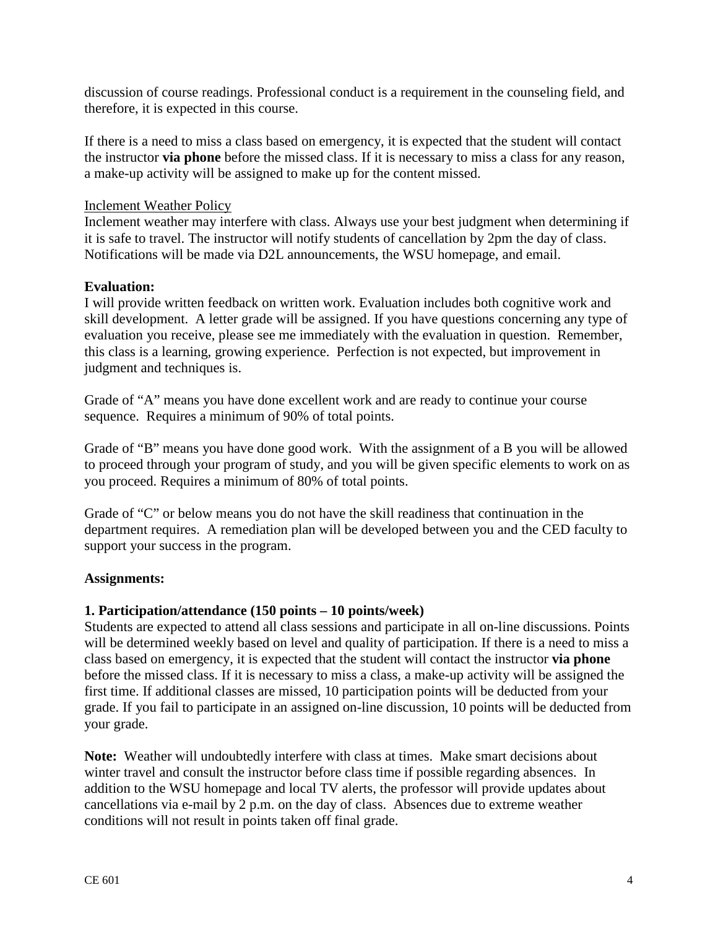discussion of course readings. Professional conduct is a requirement in the counseling field, and therefore, it is expected in this course.

If there is a need to miss a class based on emergency, it is expected that the student will contact the instructor **via phone** before the missed class. If it is necessary to miss a class for any reason, a make-up activity will be assigned to make up for the content missed.

#### Inclement Weather Policy

Inclement weather may interfere with class. Always use your best judgment when determining if it is safe to travel. The instructor will notify students of cancellation by 2pm the day of class. Notifications will be made via D2L announcements, the WSU homepage, and email.

### **Evaluation:**

I will provide written feedback on written work. Evaluation includes both cognitive work and skill development. A letter grade will be assigned. If you have questions concerning any type of evaluation you receive, please see me immediately with the evaluation in question. Remember, this class is a learning, growing experience. Perfection is not expected, but improvement in judgment and techniques is.

Grade of "A" means you have done excellent work and are ready to continue your course sequence. Requires a minimum of 90% of total points.

Grade of "B" means you have done good work. With the assignment of a B you will be allowed to proceed through your program of study, and you will be given specific elements to work on as you proceed. Requires a minimum of 80% of total points.

Grade of "C" or below means you do not have the skill readiness that continuation in the department requires. A remediation plan will be developed between you and the CED faculty to support your success in the program.

#### **Assignments:**

#### **1. Participation/attendance (150 points – 10 points/week)**

Students are expected to attend all class sessions and participate in all on-line discussions. Points will be determined weekly based on level and quality of participation. If there is a need to miss a class based on emergency, it is expected that the student will contact the instructor **via phone** before the missed class. If it is necessary to miss a class, a make-up activity will be assigned the first time. If additional classes are missed, 10 participation points will be deducted from your grade. If you fail to participate in an assigned on-line discussion, 10 points will be deducted from your grade.

**Note:** Weather will undoubtedly interfere with class at times. Make smart decisions about winter travel and consult the instructor before class time if possible regarding absences. In addition to the WSU homepage and local TV alerts, the professor will provide updates about cancellations via e-mail by 2 p.m. on the day of class. Absences due to extreme weather conditions will not result in points taken off final grade.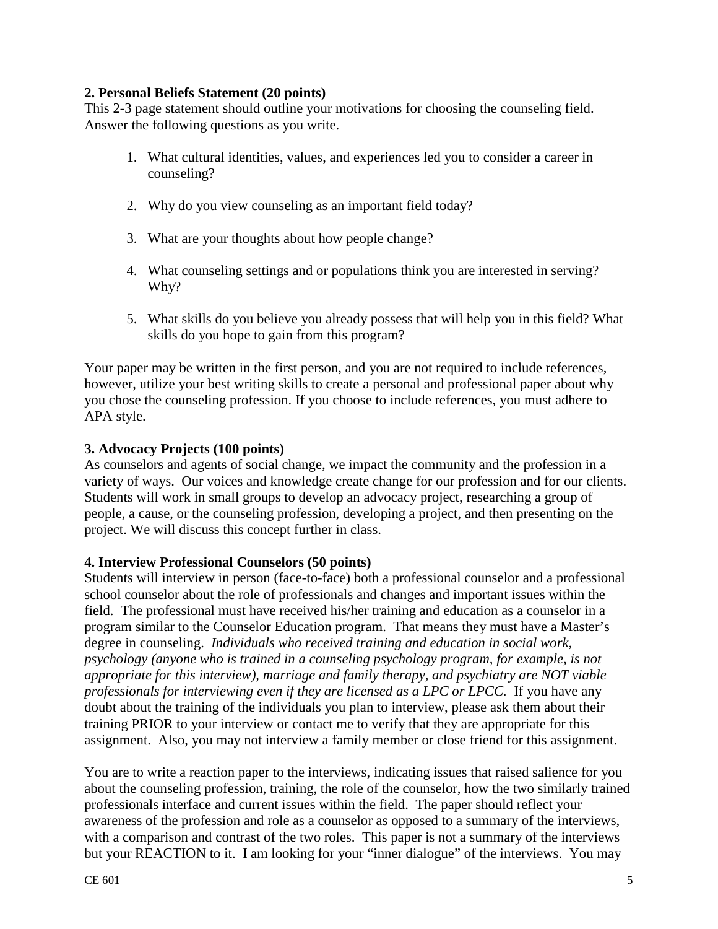### **2. Personal Beliefs Statement (20 points)**

This 2-3 page statement should outline your motivations for choosing the counseling field. Answer the following questions as you write.

- 1. What cultural identities, values, and experiences led you to consider a career in counseling?
- 2. Why do you view counseling as an important field today?
- 3. What are your thoughts about how people change?
- 4. What counseling settings and or populations think you are interested in serving? Why?
- 5. What skills do you believe you already possess that will help you in this field? What skills do you hope to gain from this program?

Your paper may be written in the first person, and you are not required to include references, however, utilize your best writing skills to create a personal and professional paper about why you chose the counseling profession. If you choose to include references, you must adhere to APA style.

### **3. Advocacy Projects (100 points)**

As counselors and agents of social change, we impact the community and the profession in a variety of ways. Our voices and knowledge create change for our profession and for our clients. Students will work in small groups to develop an advocacy project, researching a group of people, a cause, or the counseling profession, developing a project, and then presenting on the project. We will discuss this concept further in class.

#### **4. Interview Professional Counselors (50 points)**

Students will interview in person (face-to-face) both a professional counselor and a professional school counselor about the role of professionals and changes and important issues within the field. The professional must have received his/her training and education as a counselor in a program similar to the Counselor Education program. That means they must have a Master's degree in counseling. *Individuals who received training and education in social work, psychology (anyone who is trained in a counseling psychology program, for example, is not appropriate for this interview), marriage and family therapy, and psychiatry are NOT viable professionals for interviewing even if they are licensed as a LPC or LPCC.* If you have any doubt about the training of the individuals you plan to interview, please ask them about their training PRIOR to your interview or contact me to verify that they are appropriate for this assignment. Also, you may not interview a family member or close friend for this assignment.

You are to write a reaction paper to the interviews, indicating issues that raised salience for you about the counseling profession, training, the role of the counselor, how the two similarly trained professionals interface and current issues within the field. The paper should reflect your awareness of the profession and role as a counselor as opposed to a summary of the interviews, with a comparison and contrast of the two roles. This paper is not a summary of the interviews but your REACTION to it. I am looking for your "inner dialogue" of the interviews. You may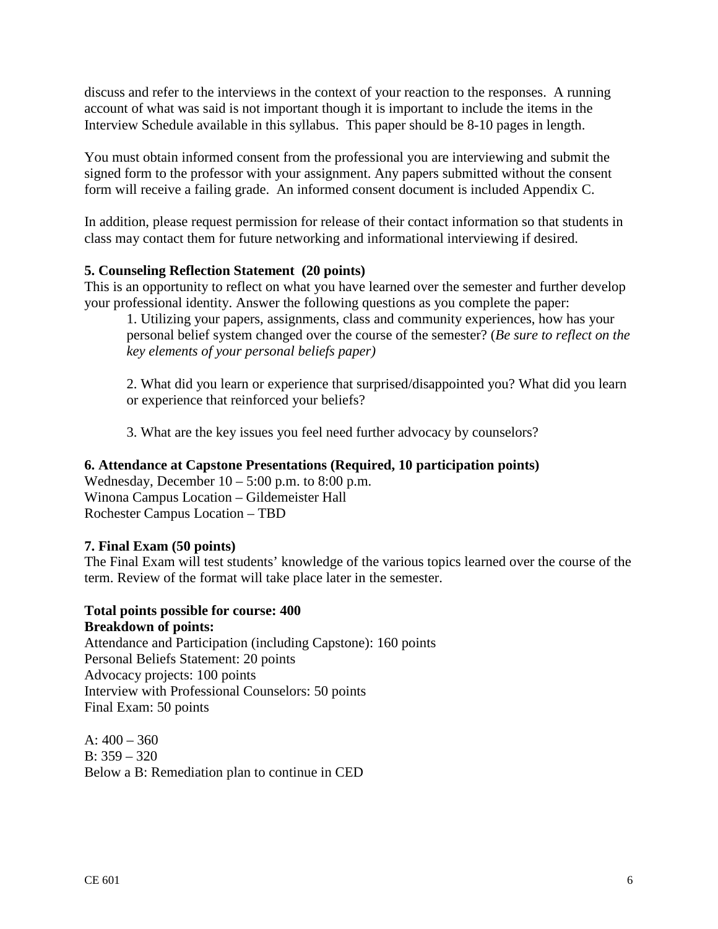discuss and refer to the interviews in the context of your reaction to the responses. A running account of what was said is not important though it is important to include the items in the Interview Schedule available in this syllabus. This paper should be 8-10 pages in length.

You must obtain informed consent from the professional you are interviewing and submit the signed form to the professor with your assignment. Any papers submitted without the consent form will receive a failing grade. An informed consent document is included Appendix C.

In addition, please request permission for release of their contact information so that students in class may contact them for future networking and informational interviewing if desired.

# **5. Counseling Reflection Statement (20 points)**

This is an opportunity to reflect on what you have learned over the semester and further develop your professional identity. Answer the following questions as you complete the paper:

1. Utilizing your papers, assignments, class and community experiences, how has your personal belief system changed over the course of the semester? (*Be sure to reflect on the key elements of your personal beliefs paper)*

2. What did you learn or experience that surprised/disappointed you? What did you learn or experience that reinforced your beliefs?

3. What are the key issues you feel need further advocacy by counselors?

#### **6. Attendance at Capstone Presentations (Required, 10 participation points)**

Wednesday, December  $10 - 5:00$  p.m. to  $8:00$  p.m. Winona Campus Location – Gildemeister Hall Rochester Campus Location – TBD

# **7. Final Exam (50 points)**

The Final Exam will test students' knowledge of the various topics learned over the course of the term. Review of the format will take place later in the semester.

#### **Total points possible for course: 400 Breakdown of points:**

Attendance and Participation (including Capstone): 160 points Personal Beliefs Statement: 20 points Advocacy projects: 100 points Interview with Professional Counselors: 50 points Final Exam: 50 points

 $A: 400 - 360$ B:  $359 - 320$ Below a B: Remediation plan to continue in CED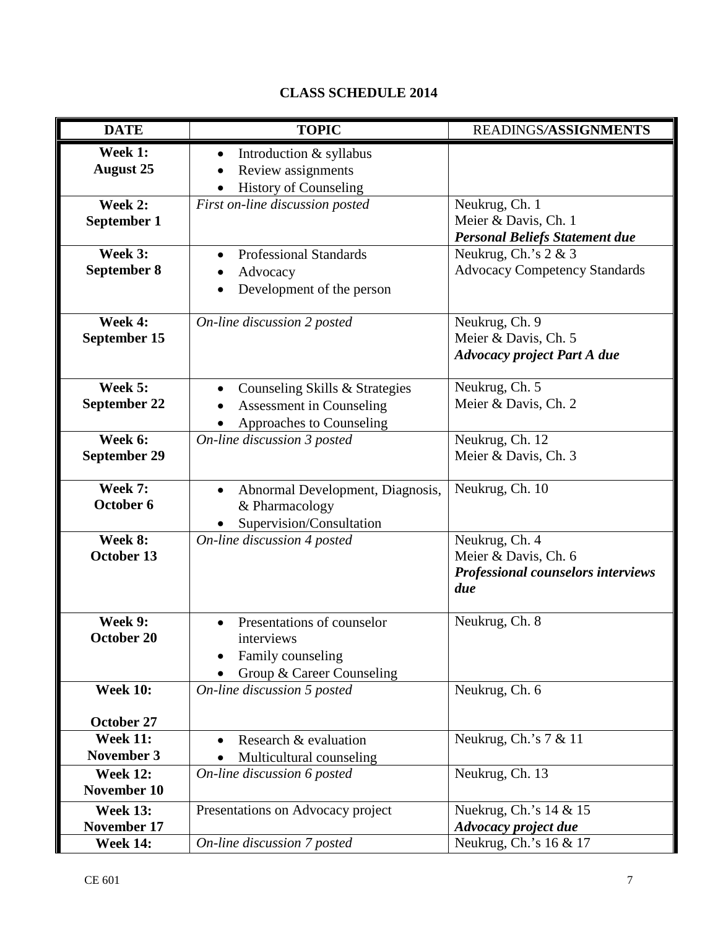# **CLASS SCHEDULE 2014**

| <b>DATE</b>                                       | <b>TOPIC</b>                                                                                  | READINGS/ASSIGNMENTS                                                                |
|---------------------------------------------------|-----------------------------------------------------------------------------------------------|-------------------------------------------------------------------------------------|
| Week 1:<br><b>August 25</b>                       | Introduction & syllabus<br>$\bullet$<br>Review assignments<br><b>History of Counseling</b>    |                                                                                     |
| Week 2:<br>September 1                            | First on-line discussion posted                                                               | Neukrug, Ch. 1<br>Meier & Davis, Ch. 1<br><b>Personal Beliefs Statement due</b>     |
| Week 3:<br>September 8                            | <b>Professional Standards</b><br>Advocacy<br>Development of the person                        | Neukrug, Ch.'s 2 & 3<br><b>Advocacy Competency Standards</b>                        |
| Week 4:<br>September 15                           | On-line discussion 2 posted                                                                   | Neukrug, Ch. 9<br>Meier & Davis, Ch. 5<br><b>Advocacy project Part A due</b>        |
| Week 5:<br>September 22                           | Counseling Skills & Strategies<br><b>Assessment in Counseling</b><br>Approaches to Counseling | Neukrug, Ch. 5<br>Meier & Davis, Ch. 2                                              |
| Week 6:<br><b>September 29</b>                    | On-line discussion 3 posted                                                                   | Neukrug, Ch. 12<br>Meier & Davis, Ch. 3                                             |
| Week 7:<br>October 6                              | Abnormal Development, Diagnosis,<br>& Pharmacology<br>Supervision/Consultation                | Neukrug, Ch. 10                                                                     |
| Week 8:<br>October 13                             | On-line discussion 4 posted                                                                   | Neukrug, Ch. 4<br>Meier & Davis, Ch. 6<br>Professional counselors interviews<br>due |
| Week 9:<br>October 20                             | Presentations of counselor<br>interviews<br>Family counseling<br>Group & Career Counseling    | Neukrug, Ch. 8                                                                      |
| <b>Week 10:</b>                                   | On-line discussion 5 posted                                                                   | Neukrug, Ch. 6                                                                      |
| October 27<br><b>Week 11:</b><br>November 3       | Research & evaluation<br>Multicultural counseling                                             | Neukrug, Ch.'s $7 & 11$                                                             |
| <b>Week 12:</b><br>November 10                    | On-line discussion 6 posted                                                                   | Neukrug, Ch. 13                                                                     |
| <b>Week 13:</b><br>November 17<br><b>Week 14:</b> | Presentations on Advocacy project<br>On-line discussion 7 posted                              | Nuekrug, Ch.'s 14 & 15<br>Advocacy project due<br>Neukrug, Ch.'s 16 & 17            |